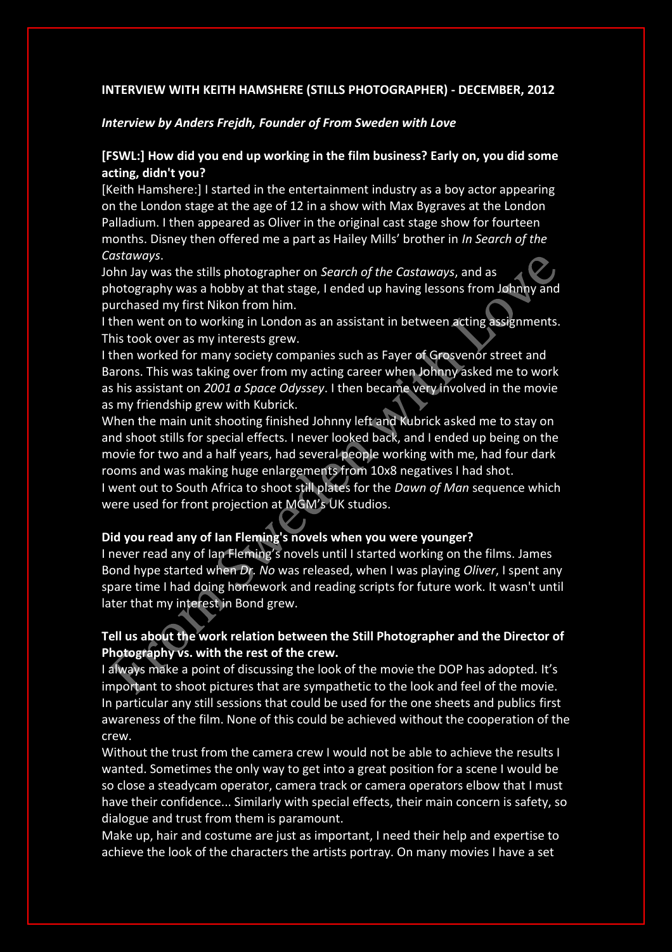## **INTERVIEW WITH KEITH HAMSHERE (STILLS PHOTOGRAPHER) - DECEMBER, 2012**

## *Interview by Anders Frejdh, Founder of From Sweden with Love*

# **[FSWL:] How did you end up working in the film business? Early on, you did some acting, didn't you?**

[Keith Hamshere:] I started in the entertainment industry as a boy actor appearing on the London stage at the age of 12 in a show with Max Bygraves at the London Palladium. I then appeared as Oliver in the original cast stage show for fourteen months. Disney then offered me a part as Hailey Mills' brother in *In Search of the Castaways*.

John Jay was the stills photographer on *Search of the Castaways*, and as photography was a hobby at that stage, I ended up having lessons from Johnny and purchased my first Nikon from him.

I then went on to working in London as an assistant in between acting assignments. This took over as my interests grew.

I then worked for many society companies such as Fayer of Grosvenor street and Barons. This was taking over from my acting career when Johnny asked me to work as his assistant on *2001 a Space Odyssey*. I then became very involved in the movie as my friendship grew with Kubrick.

When the main unit shooting finished Johnny left and Kubrick asked me to stay on and shoot stills for special effects. I never looked back, and I ended up being on the movie for two and a half years, had several people working with me, had four dark rooms and was making huge enlargements from 10x8 negatives I had shot.

I went out to South Africa to shoot still plates for the *Dawn of Man* sequence which were used for front projection at MGM's UK studios.

## **Did you read any of Ian Fleming's novels when you were younger?**

I never read any of Ian Fleming's novels until I started working on the films. James Bond hype started when *Dr. No* was released, when I was playing *Oliver*, I spent any spare time I had doing homework and reading scripts for future work. It wasn't until later that my interest in Bond grew.

# **Tell us about the work relation between the Still Photographer and the Director of Photography vs. with the rest of the crew.**

I always make a point of discussing the look of the movie the DOP has adopted. It's important to shoot pictures that are sympathetic to the look and feel of the movie. In particular any still sessions that could be used for the one sheets and publics first awareness of the film. None of this could be achieved without the cooperation of the crew.

Without the trust from the camera crew I would not be able to achieve the results I wanted. Sometimes the only way to get into a great position for a scene I would be so close a steadycam operator, camera track or camera operators elbow that I must have their confidence... Similarly with special effects, their main concern is safety, so dialogue and trust from them is paramount.

Make up, hair and costume are just as important, I need their help and expertise to achieve the look of the characters the artists portray. On many movies I have a set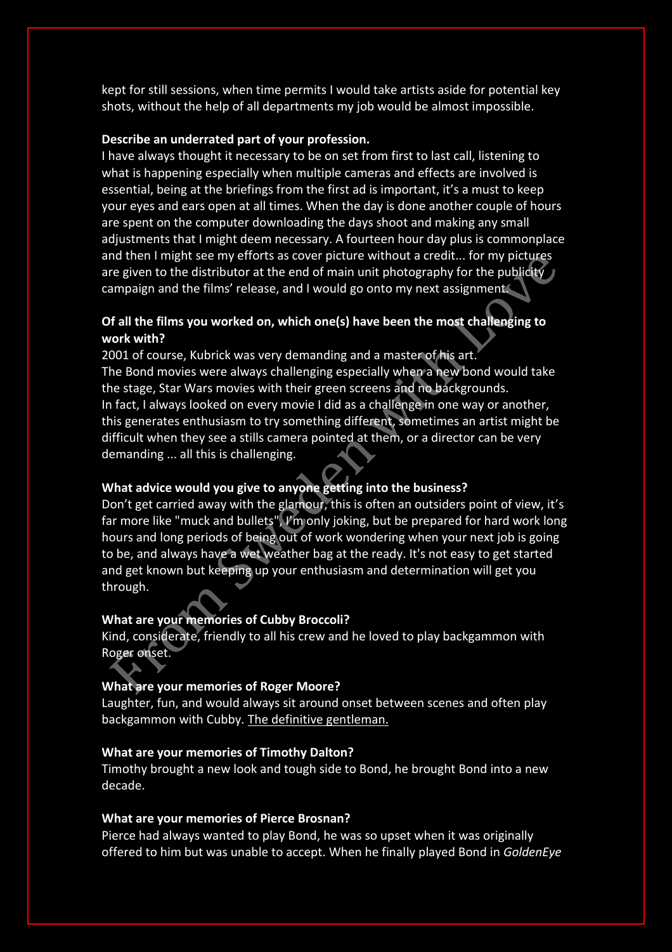kept for still sessions, when time permits I would take artists aside for potential key shots, without the help of all departments my job would be almost impossible.

#### **Describe an underrated part of your profession.**

I have always thought it necessary to be on set from first to last call, listening to what is happening especially when multiple cameras and effects are involved is essential, being at the briefings from the first ad is important, it's a must to keep your eyes and ears open at all times. When the day is done another couple of hours are spent on the computer downloading the days shoot and making any small adjustments that I might deem necessary. A fourteen hour day plus is commonplace and then I might see my efforts as cover picture without a credit... for my pictures are given to the distributor at the end of main unit photography for the publicity campaign and the films' release, and I would go onto my next assignment.

# **Of all the films you worked on, which one(s) have been the most challenging to work with?**

2001 of course, Kubrick was very demanding and a master of his art. The Bond movies were always challenging especially when a new bond would take the stage, Star Wars movies with their green screens and no backgrounds. In fact, I always looked on every movie I did as a challenge in one way or another, this generates enthusiasm to try something different, sometimes an artist might be difficult when they see a stills camera pointed at them, or a director can be very demanding ... all this is challenging.

# **What advice would you give to anyone getting into the business?**

Don't get carried away with the glamour, this is often an outsiders point of view, it's far more like "muck and bullets", I'm only joking, but be prepared for hard work long hours and long periods of being out of work wondering when your next job is going to be, and always have a wet weather bag at the ready. It's not easy to get started and get known but keeping up your enthusiasm and determination will get you through.

## **What are your memories of Cubby Broccoli?**

Kind, considerate, friendly to all his crew and he loved to play backgammon with Roger onset.

#### **What are your memories of Roger Moore?**

Laughter, fun, and would always sit around onset between scenes and often play backgammon with Cubby. The definitive gentleman.

### **What are your memories of Timothy Dalton?**

Timothy brought a new look and tough side to Bond, he brought Bond into a new decade.

#### **What are your memories of Pierce Brosnan?**

Pierce had always wanted to play Bond, he was so upset when it was originally offered to him but was unable to accept. When he finally played Bond in *GoldenEye*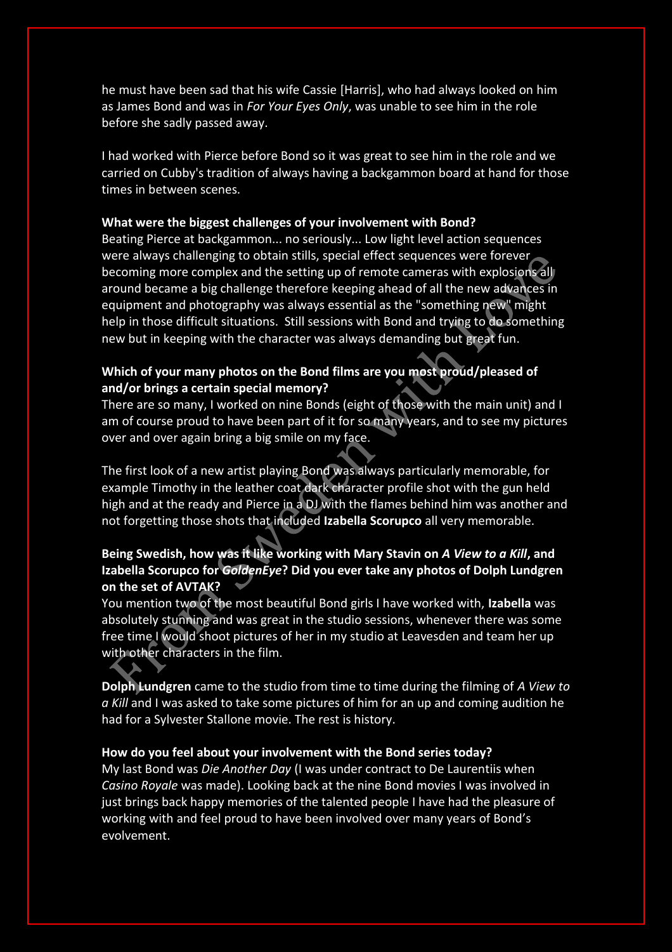he must have been sad that his wife Cassie [Harris], who had always looked on him as James Bond and was in *For Your Eyes Only*, was unable to see him in the role before she sadly passed away.

I had worked with Pierce before Bond so it was great to see him in the role and we carried on Cubby's tradition of always having a backgammon board at hand for those times in between scenes.

### **What were the biggest challenges of your involvement with Bond?**

Beating Pierce at backgammon... no seriously... Low light level action sequences were always challenging to obtain stills, special effect sequences were forever becoming more complex and the setting up of remote cameras with explosions all around became a big challenge therefore keeping ahead of all the new advances in equipment and photography was always essential as the "something new" might help in those difficult situations. Still sessions with Bond and trying to do something new but in keeping with the character was always demanding but great fun.

## **Which of your many photos on the Bond films are you most proud/pleased of and/or brings a certain special memory?**

There are so many, I worked on nine Bonds (eight of those with the main unit) and I am of course proud to have been part of it for so many years, and to see my pictures over and over again bring a big smile on my face.

The first look of a new artist playing Bond was always particularly memorable, for example Timothy in the leather coat dark character profile shot with the gun held high and at the ready and Pierce in a DJ with the flames behind him was another and not forgetting those shots that included **Izabella Scorupco** all very memorable.

# **Being Swedish, how was it like working with Mary Stavin on** *A View to a Kill***, and Izabella Scorupco for** *GoldenEye***? Did you ever take any photos of Dolph Lundgren on the set of AVTAK?**

You mention two of the most beautiful Bond girls I have worked with, **Izabella** was absolutely stunning and was great in the studio sessions, whenever there was some free time I would shoot pictures of her in my studio at Leavesden and team her up with other characters in the film.

**Dolph Lundgren** came to the studio from time to time during the filming of *A View to a Kill* and I was asked to take some pictures of him for an up and coming audition he had for a Sylvester Stallone movie. The rest is history.

### **How do you feel about your involvement with the Bond series today?**

My last Bond was *Die Another Day* (I was under contract to De Laurentiis when *Casino Royale* was made). Looking back at the nine Bond movies I was involved in just brings back happy memories of the talented people I have had the pleasure of working with and feel proud to have been involved over many years of Bond's evolvement.